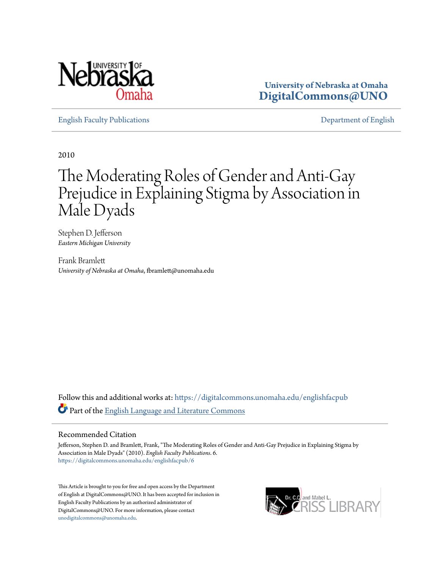

**University of Nebraska at Omaha [DigitalCommons@UNO](https://digitalcommons.unomaha.edu?utm_source=digitalcommons.unomaha.edu%2Fenglishfacpub%2F6&utm_medium=PDF&utm_campaign=PDFCoverPages)**

[English Faculty Publications](https://digitalcommons.unomaha.edu/englishfacpub?utm_source=digitalcommons.unomaha.edu%2Fenglishfacpub%2F6&utm_medium=PDF&utm_campaign=PDFCoverPages) [Department of English](https://digitalcommons.unomaha.edu/english?utm_source=digitalcommons.unomaha.edu%2Fenglishfacpub%2F6&utm_medium=PDF&utm_campaign=PDFCoverPages)

2010

# The Moderating Roles of Gender and Anti-Gay Prejudice in Explaining Stigma by Association in Male Dyads

Stephen D. Jefferson *Eastern Michigan University*

Frank Bramlett *University of Nebraska at Omaha*, fbramlett@unomaha.edu

Follow this and additional works at: [https://digitalcommons.unomaha.edu/englishfacpub](https://digitalcommons.unomaha.edu/englishfacpub?utm_source=digitalcommons.unomaha.edu%2Fenglishfacpub%2F6&utm_medium=PDF&utm_campaign=PDFCoverPages) Part of the [English Language and Literature Commons](http://network.bepress.com/hgg/discipline/455?utm_source=digitalcommons.unomaha.edu%2Fenglishfacpub%2F6&utm_medium=PDF&utm_campaign=PDFCoverPages)

#### Recommended Citation

Jefferson, Stephen D. and Bramlett, Frank, "The Moderating Roles of Gender and Anti-Gay Prejudice in Explaining Stigma by Association in Male Dyads" (2010). *English Faculty Publications*. 6. [https://digitalcommons.unomaha.edu/englishfacpub/6](https://digitalcommons.unomaha.edu/englishfacpub/6?utm_source=digitalcommons.unomaha.edu%2Fenglishfacpub%2F6&utm_medium=PDF&utm_campaign=PDFCoverPages)

This Article is brought to you for free and open access by the Department of English at DigitalCommons@UNO. It has been accepted for inclusion in English Faculty Publications by an authorized administrator of DigitalCommons@UNO. For more information, please contact [unodigitalcommons@unomaha.edu](mailto:unodigitalcommons@unomaha.edu).

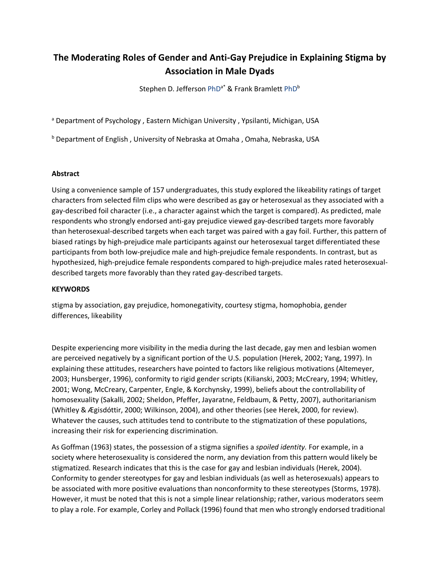# **The Moderating Roles of Gender and Anti-Gay Prejudice in Explaining Stigma by Association in Male Dyads**

Stephen D. Jefferson PhD<sup>a\*</sup> & Frank Bramlett PhD<sup>b</sup>

<sup>a</sup> Department of Psychology, Eastern Michigan University, Ypsilanti, Michigan, USA

<sup>b</sup> Department of English , University of Nebraska at Omaha , Omaha, Nebraska, USA

## **Abstract**

Using a convenience sample of 157 undergraduates, this study explored the likeability ratings of target characters from selected film clips who were described as gay or heterosexual as they associated with a gay-described foil character (i.e., a character against which the target is compared). As predicted, male respondents who strongly endorsed anti-gay prejudice viewed gay-described targets more favorably than heterosexual-described targets when each target was paired with a gay foil. Further, this pattern of biased ratings by high-prejudice male participants against our heterosexual target differentiated these participants from both low-prejudice male and high-prejudice female respondents. In contrast, but as hypothesized, high-prejudice female respondents compared to high-prejudice males rated heterosexualdescribed targets more favorably than they rated gay-described targets.

#### **KEYWORDS**

stigma by association, gay prejudice, homonegativity, courtesy stigma, homophobia, gender differences, likeability

Despite experiencing more visibility in the media during the last decade, gay men and lesbian women are perceived negatively by a significant portion of the U.S. population (Herek, 2002; Yang, 1997). In explaining these attitudes, researchers have pointed to factors like religious motivations (Altemeyer, 2003; Hunsberger, 1996), conformity to rigid gender scripts (Kilianski, 2003; McCreary, 1994; Whitley, 2001; Wong, McCreary, Carpenter, Engle, & Korchynsky, 1999), beliefs about the controllability of homosexuality (Sakalli, 2002; Sheldon, Pfeffer, Jayaratne, Feldbaum, & Petty, 2007), authoritarianism (Whitley & Ægisdóttir, 2000; Wilkinson, 2004), and other theories (see Herek, 2000, for review). Whatever the causes, such attitudes tend to contribute to the stigmatization of these populations, increasing their risk for experiencing discrimination.

As Goffman (1963) states, the possession of a stigma signifies a *spoiled identity.* For example, in a society where heterosexuality is considered the norm, any deviation from this pattern would likely be stigmatized. Research indicates that this is the case for gay and lesbian individuals (Herek, 2004). Conformity to gender stereotypes for gay and lesbian individuals (as well as heterosexuals) appears to be associated with more positive evaluations than nonconformity to these stereotypes (Storms, 1978). However, it must be noted that this is not a simple linear relationship; rather, various moderators seem to play a role. For example, Corley and Pollack (1996) found that men who strongly endorsed traditional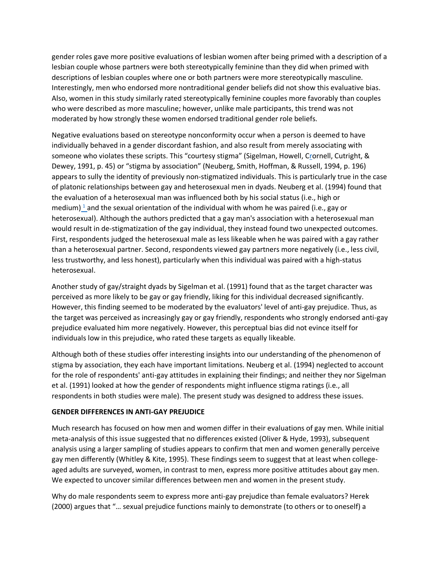gender roles gave more positive evaluations of lesbian women after being primed with a description of a lesbian couple whose partners were both stereotypically feminine than they did when primed with descriptions of lesbian couples where one or both partners were more stereotypically masculine. Interestingly, men who endorsed more nontraditional gender beliefs did not show this evaluative bias. Also, women in this study similarly rated stereotypically feminine couples more favorably than couples who were described as more masculine; however, unlike male participants, this trend was not moderated by how strongly these women endorsed traditional gender role beliefs.

Negative evaluations based on stereotype nonconformity occur when a person is deemed to have individually behaved in a gender discordant fashion, and also result from merely associating with someone who violates these scripts. This "courtesy stigma" (Sigelman, Howell, Crornell, Cutright, & Dewey, 1991, p. 45) or "stigma by association" (Neuberg, Smith, Hoffman, & Russell, 1994, p. 196) appears to sully the identity of previously non-stigmatized individuals. This is particularly true in the case of platonic relationships between gay and heterosexual men in dyads. Neuberg et al. (1994) found that the evaluation of a heterosexual man was influenced both by his social status (i.e., high or medium[\)](http://www.tandfonline.com/doi/full/10.1080/00918360903543113#EN0001) <sup>1</sup> and the sexual orientation of the individual with whom he was paired (i.e., gay or heterosexual). Although the authors predicted that a gay man's association with a heterosexual man would result in de-stigmatization of the gay individual, they instead found two unexpected outcomes. First, respondents judged the heterosexual male as less likeable when he was paired with a gay rather than a heterosexual partner. Second, respondents viewed gay partners more negatively (i.e., less civil, less trustworthy, and less honest), particularly when this individual was paired with a high-status heterosexual.

Another study of gay/straight dyads by Sigelman et al. (1991) found that as the target character was perceived as more likely to be gay or gay friendly, liking for this individual decreased significantly. However, this finding seemed to be moderated by the evaluators' level of anti-gay prejudice. Thus, as the target was perceived as increasingly gay or gay friendly, respondents who strongly endorsed anti-gay prejudice evaluated him more negatively. However, this perceptual bias did not evince itself for individuals low in this prejudice, who rated these targets as equally likeable.

Although both of these studies offer interesting insights into our understanding of the phenomenon of stigma by association, they each have important limitations. Neuberg et al. (1994) neglected to account for the role of respondents' anti-gay attitudes in explaining their findings; and neither they nor Sigelman et al. (1991) looked at how the gender of respondents might influence stigma ratings (i.e., all respondents in both studies were male). The present study was designed to address these issues.

## **GENDER DIFFERENCES IN ANTI-GAY PREJUDICE**

Much research has focused on how men and women differ in their evaluations of gay men. While initial meta-analysis of this issue suggested that no differences existed (Oliver & Hyde, 1993), subsequent analysis using a larger sampling of studies appears to confirm that men and women generally perceive gay men differently (Whitley & Kite, 1995). These findings seem to suggest that at least when collegeaged adults are surveyed, women, in contrast to men, express more positive attitudes about gay men. We expected to uncover similar differences between men and women in the present study.

Why do male respondents seem to express more anti-gay prejudice than female evaluators? Herek (2000) argues that "… sexual prejudice functions mainly to demonstrate (to others or to oneself) a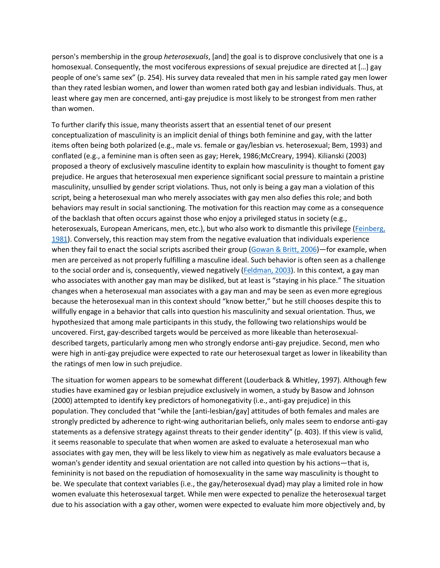person's membership in the group *heterosexuals*, [and] the goal is to disprove conclusively that one is a homosexual. Consequently, the most vociferous expressions of sexual prejudice are directed at […] gay people of one's same sex" (p. 254). His survey data revealed that men in his sample rated gay men lower than they rated lesbian women, and lower than women rated both gay and lesbian individuals. Thus, at least where gay men are concerned, anti-gay prejudice is most likely to be strongest from men rather than women.

To further clarify this issue, many theorists assert that an essential tenet of our present conceptualization of masculinity is an implicit denial of things both feminine and gay, with the latter items often being both polarized (e.g., male vs. female or gay/lesbian vs. heterosexual; Bem, 1993) and conflated (e.g., a feminine man is often seen as gay; Herek, 1986;McCreary, 1994). Kilianski (2003) proposed a theory of exclusively masculine identity to explain how masculinity is thought to foment gay prejudice. He argues that heterosexual men experience significant social pressure to maintain a pristine masculinity, unsullied by gender script violations. Thus, not only is being a gay man a violation of this script, being a heterosexual man who merely associates with gay men also defies this role; and both behaviors may result in social sanctioning. The motivation for this reaction may come as a consequence of the backlash that often occurs against those who enjoy a privileged status in society (e.g., heterosexuals, European Americans, men, etc.), but who also work to dismantle this privilege (Feinberg, [1981\)](http://www.tandfonline.com/doi/full/10.1080/00918360903543113#CIT0010). Conversely, this reaction may stem from the negative evaluation that individuals experience when they fail to enact the social scripts ascribed their group [\(Gowan & Britt, 2006\)](http://www.tandfonline.com/doi/full/10.1080/00918360903543113#CIT0012)—for example, when men are perceived as not properly fulfilling a masculine ideal. Such behavior is often seen as a challenge to the social order and is, consequently, viewed negatively [\(Feldman, 2003\)](http://www.tandfonline.com/doi/full/10.1080/00918360903543113#CIT0011). In this context, a gay man who associates with another gay man may be disliked, but at least is "staying in his place." The situation changes when a heterosexual man associates with a gay man and may be seen as even more egregious because the heterosexual man in this context should "know better," but he still chooses despite this to willfully engage in a behavior that calls into question his masculinity and sexual orientation. Thus, we hypothesized that among male participants in this study, the following two relationships would be uncovered. First, gay-described targets would be perceived as more likeable than heterosexualdescribed targets, particularly among men who strongly endorse anti-gay prejudice. Second, men who were high in anti-gay prejudice were expected to rate our heterosexual target as lower in likeability than the ratings of men low in such prejudice.

The situation for women appears to be somewhat different (Louderback & Whitley, 1997). Although few studies have examined gay or lesbian prejudice exclusively in women, a study by Basow and Johnson (2000) attempted to identify key predictors of homonegativity (i.e., anti-gay prejudice) in this population. They concluded that "while the [anti-lesbian/gay] attitudes of both females and males are strongly predicted by adherence to right-wing authoritarian beliefs, only males seem to endorse anti-gay statements as a defensive strategy against threats to their gender identity" (p. 403). If this view is valid, it seems reasonable to speculate that when women are asked to evaluate a heterosexual man who associates with gay men, they will be less likely to view him as negatively as male evaluators because a woman's gender identity and sexual orientation are not called into question by his actions—that is, femininity is not based on the repudiation of homosexuality in the same way masculinity is thought to be. We speculate that context variables (i.e., the gay/heterosexual dyad) may play a limited role in how women evaluate this heterosexual target. While men were expected to penalize the heterosexual target due to his association with a gay other, women were expected to evaluate him more objectively and, by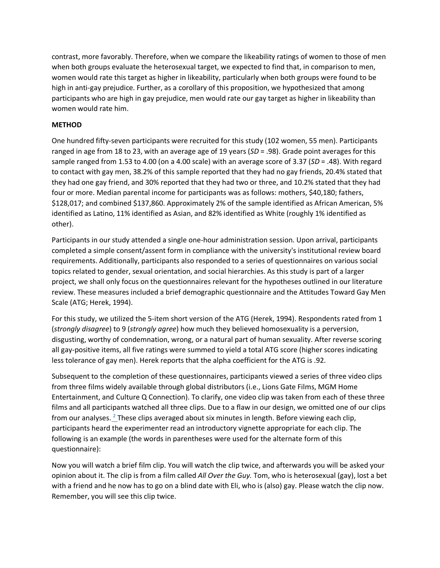contrast, more favorably. Therefore, when we compare the likeability ratings of women to those of men when both groups evaluate the heterosexual target, we expected to find that, in comparison to men, women would rate this target as higher in likeability, particularly when both groups were found to be high in anti-gay prejudice. Further, as a corollary of this proposition, we hypothesized that among participants who are high in gay prejudice, men would rate our gay target as higher in likeability than women would rate him.

## **METHOD**

One hundred fifty-seven participants were recruited for this study (102 women, 55 men). Participants ranged in age from 18 to 23, with an average age of 19 years (*SD* = .98). Grade point averages for this sample ranged from 1.53 to 4.00 (on a 4.00 scale) with an average score of 3.37 (*SD* = .48). With regard to contact with gay men, 38.2% of this sample reported that they had no gay friends, 20.4% stated that they had one gay friend, and 30% reported that they had two or three, and 10.2% stated that they had four or more. Median parental income for participants was as follows: mothers, \$40,180; fathers, \$128,017; and combined \$137,860. Approximately 2% of the sample identified as African American, 5% identified as Latino, 11% identified as Asian, and 82% identified as White (roughly 1% identified as other).

Participants in our study attended a single one-hour administration session. Upon arrival, participants completed a simple consent/assent form in compliance with the university's institutional review board requirements. Additionally, participants also responded to a series of questionnaires on various social topics related to gender, sexual orientation, and social hierarchies. As this study is part of a larger project, we shall only focus on the questionnaires relevant for the hypotheses outlined in our literature review. These measures included a brief demographic questionnaire and the Attitudes Toward Gay Men Scale (ATG; Herek, 1994).

For this study, we utilized the 5-item short version of the ATG (Herek, 1994). Respondents rated from 1 (*strongly disagree*) to 9 (*strongly agree*) how much they believed homosexuality is a perversion, disgusting, worthy of condemnation, wrong, or a natural part of human sexuality. After reverse scoring all gay-positive items, all five ratings were summed to yield a total ATG score (higher scores indicating less tolerance of gay men). Herek reports that the alpha coefficient for the ATG is .92.

Subsequent to the completion of these questionnaires, participants viewed a series of three video clips from three films widely available through global distributors (i.e., Lions Gate Films, MGM Home Entertainment, and Culture Q Connection). To clarify, one video clip was taken from each of these three films and all participants watched all three clips. Due to a flaw in our design, we omitted one of our clips from our analyses.  $2$  [T](http://www.tandfonline.com/doi/full/10.1080/00918360903543113#EN0002)hese clips averaged about six minutes in length. Before viewing each clip, participants heard the experimenter read an introductory vignette appropriate for each clip. The following is an example (the words in parentheses were used for the alternate form of this questionnaire):

Now you will watch a brief film clip. You will watch the clip twice, and afterwards you will be asked your opinion about it. The clip is from a film called *All Over the Guy.* Tom, who is heterosexual (gay), lost a bet with a friend and he now has to go on a blind date with Eli, who is (also) gay. Please watch the clip now. Remember, you will see this clip twice.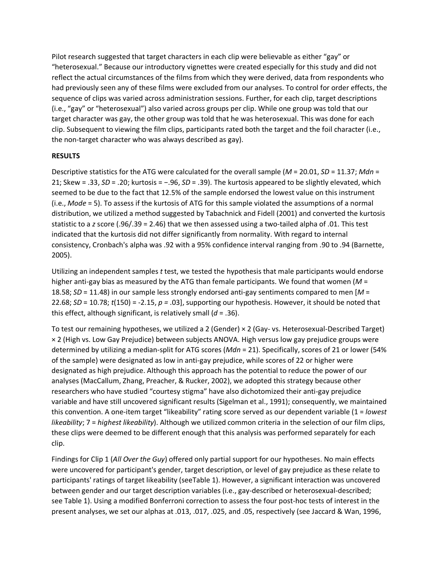Pilot research suggested that target characters in each clip were believable as either "gay" or "heterosexual." Because our introductory vignettes were created especially for this study and did not reflect the actual circumstances of the films from which they were derived, data from respondents who had previously seen any of these films were excluded from our analyses. To control for order effects, the sequence of clips was varied across administration sessions. Further, for each clip, target descriptions (i.e., "gay" or "heterosexual") also varied across groups per clip. While one group was told that our target character was gay, the other group was told that he was heterosexual. This was done for each clip. Subsequent to viewing the film clips, participants rated both the target and the foil character (i.e., the non-target character who was always described as gay).

# **RESULTS**

Descriptive statistics for the ATG were calculated for the overall sample (*M* = 20.01, *SD* = 11.37; *Mdn* = 21; Skew = .33, *SD* = .20; kurtosis = −.96, *SD* = .39). The kurtosis appeared to be slightly elevated, which seemed to be due to the fact that 12.5% of the sample endorsed the lowest value on this instrument (i.e., *Mode* = 5). To assess if the kurtosis of ATG for this sample violated the assumptions of a normal distribution, we utilized a method suggested by Tabachnick and Fidell (2001) and converted the kurtosis statistic to a *z* score (.96/.39 = 2.46) that we then assessed using a two-tailed alpha of .01. This test indicated that the kurtosis did not differ significantly from normality. With regard to internal consistency, Cronbach's alpha was .92 with a 95% confidence interval ranging from .90 to .94 (Barnette, 2005).

Utilizing an independent samples *t* test, we tested the hypothesis that male participants would endorse higher anti-gay bias as measured by the ATG than female participants. We found that women (*M* = 18.58; *SD* = 11.48) in our sample less strongly endorsed anti-gay sentiments compared to men [*M* = 22.68; *SD* = 10.78; *t*(150) = -2.15, *p =* .03], supporting our hypothesis. However, it should be noted that this effect, although significant, is relatively small (*d* = .36).

To test our remaining hypotheses, we utilized a 2 (Gender) × 2 (Gay- vs. Heterosexual-Described Target) × 2 (High vs. Low Gay Prejudice) between subjects ANOVA. High versus low gay prejudice groups were determined by utilizing a median-split for ATG scores (*Mdn* = 21). Specifically, scores of 21 or lower (54% of the sample) were designated as low in anti-gay prejudice, while scores of 22 or higher were designated as high prejudice. Although this approach has the potential to reduce the power of our analyses (MacCallum, Zhang, Preacher, & Rucker, 2002), we adopted this strategy because other researchers who have studied "courtesy stigma" have also dichotomized their anti-gay prejudice variable and have still uncovered significant results (Sigelman et al., 1991); consequently, we maintained this convention. A one-item target "likeability" rating score served as our dependent variable (1 = *lowest likeability*; 7 = *highest likeability*). Although we utilized common criteria in the selection of our film clips, these clips were deemed to be different enough that this analysis was performed separately for each clip.

Findings for Clip 1 (*All Over the Guy*) offered only partial support for our hypotheses. No main effects were uncovered for participant's gender, target description, or level of gay prejudice as these relate to participants' ratings of target likeability (seeTable 1). However, a significant interaction was uncovered between gender and our target description variables (i.e., gay-described or heterosexual-described; see Table 1). Using a modified Bonferroni correction to assess the four post-hoc tests of interest in the present analyses, we set our alphas at .013, .017, .025, and .05, respectively (see Jaccard & Wan, 1996,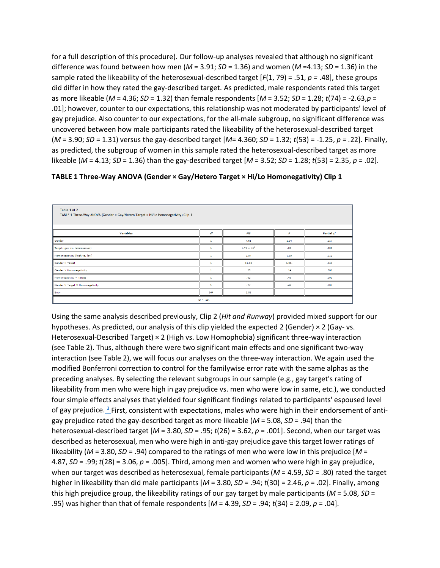for a full description of this procedure). Our follow-up analyses revealed that although no significant difference was found between how men (*M* = 3.91; *SD* = 1.36) and women (*M* =4.13; *SD* = 1.36) in the sample rated the likeability of the heterosexual-described target [*F*(1, 79) = .51, *p =* .48], these groups did differ in how they rated the gay-described target. As predicted, male respondents rated this target as more likeable (*M* = 4.36; *SD* = 1.32) than female respondents [*M* = 3.52; *SD* = 1.28; *t*(74) = -2.63,*p* = .01]; however, counter to our expectations, this relationship was not moderated by participants' level of gay prejudice. Also counter to our expectations, for the all-male subgroup, no significant difference was uncovered between how male participants rated the likeability of the heterosexual-described target (*M* = 3.90; *SD* = 1.31) versus the gay-described target [*M*= 4.360; *SD* = 1.32; *t*(53) = -1.25, *p = .*22]. Finally, as predicted, the subgroup of women in this sample rated the heterosexual-described target as more likeable (*M* = 4.13; *SD* = 1.36) than the gay-described target [*M* = 3.52; *SD* = 1.28; *t*(53) = 2.35, *p* = .02].

## **TABLE 1 Three-Way ANOVA (Gender × Gay/Hetero Target × Hi/Lo Homonegativity) Clip 1**

| Table 1 of 2<br>TABLE 1 Three-Way ANOVA (Gender × Gay/Hetero Target × Hi/Lo Homonegativity) Clip 1 |              |                      |         |                  |  |  |  |
|----------------------------------------------------------------------------------------------------|--------------|----------------------|---------|------------------|--|--|--|
| <b>Variables</b>                                                                                   | df           | MS                   | F       | Partial $\eta^2$ |  |  |  |
| Gender                                                                                             | 1            | 4.61                 | 2.54    | .017             |  |  |  |
| Target (gay vs. heterosexual)                                                                      | 1            | $1.79 \times 10^{5}$ | .00.    | .000             |  |  |  |
| Homonegativity (high vs. low)                                                                      | $\mathbf{1}$ | 3.07                 | 1.69    | .012             |  |  |  |
| Gender × Target                                                                                    | 1            | 11.02                | $6.08*$ | .040             |  |  |  |
| Gender × Homonegativity                                                                            | 1            | .25                  | .14     | .001             |  |  |  |
| Homonegativity × Target                                                                            | $\mathbf{1}$ | .82                  | ,45     | .003             |  |  |  |
| Gender × Target × Homonegativity                                                                   | $\mathbf{1}$ | .77                  | .42     | .003             |  |  |  |
| Error                                                                                              | 144          | 1.83                 |         |                  |  |  |  |
| $* p < .05.$                                                                                       |              |                      |         |                  |  |  |  |

Using the same analysis described previously, Clip 2 (*Hit and Runway*) provided mixed support for our hypotheses. As predicted, our analysis of this clip yielded the expected 2 (Gender) × 2 (Gay- vs. Heterosexual-Described Target) × 2 (High vs. Low Homophobia) significant three-way interaction (see Table 2). Thus, although there were two significant main effects and one significant two-way interaction (see Table 2), we will focus our analyses on the three-way interaction. We again used the modified Bonferroni correction to control for the familywise error rate with the same alphas as the preceding analyses. By selecting the relevant subgroups in our sample (e.g., gay target's rating of likeability from men who were high in gay prejudice vs. men who were low in same, etc.), we conducted four simple effects analyses that yielded four significant findings related to participants' espoused level of gay prejudice. <sup>[3](http://www.tandfonline.com/doi/full/10.1080/00918360903543113#EN0003)</sup> First, consistent with expectations, males who were high in their endorsement of antigay prejudice rated the gay-described target as more likeable (*M* = 5.08, *SD* = .94) than the heterosexual-described target [*M* = 3.80, *SD* = .95; *t*(26) = 3.62, *p* = .001]. Second, when our target was described as heterosexual, men who were high in anti-gay prejudice gave this target lower ratings of likeability (*M* = 3.80, *SD* = .94) compared to the ratings of men who were low in this prejudice [*M* = 4.87, *SD* = .99; *t*(28) = 3.06, *p* = .005]. Third, among men and women who were high in gay prejudice, when our target was described as heterosexual, female participants (*M* = 4.59, *SD* = .80) rated the target higher in likeability than did male participants [*M* = 3.80, *SD* = .94; *t*(30) = 2.46, *p* = .02]. Finally, among this high prejudice group, the likeability ratings of our gay target by male participants (*M* = 5.08, *SD* = .95) was higher than that of female respondents [*M* = 4.39, *SD* = .94; *t*(34) = 2.09, *p* = .04].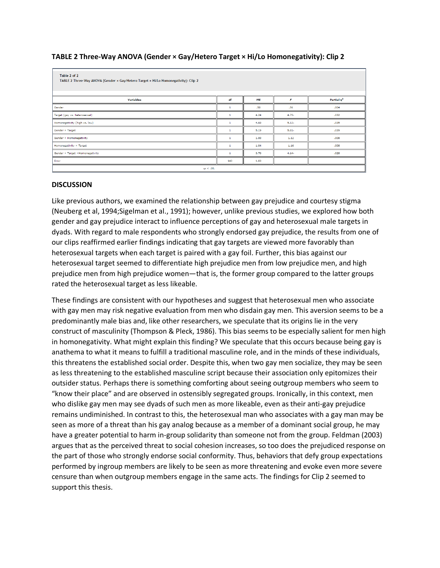| Table 2 of 2<br>TABLE 2 Three-Way ANOVA (Gender × Gay/Hetero Target × Hi/Lo Homonegativity): Clip 2 |              |           |         |                  |  |  |  |
|-----------------------------------------------------------------------------------------------------|--------------|-----------|---------|------------------|--|--|--|
| <b>Variables</b>                                                                                    | df           | <b>MS</b> | F       | Partial $\eta^2$ |  |  |  |
| Gender                                                                                              | 1            | .50       | .56     | .004             |  |  |  |
| Target (gay vs. heterosexual)                                                                       | $\mathbf{1}$ | 4.24      | $4.75*$ | .032             |  |  |  |
| Homonegativity (high vs. low)                                                                       | $\mathbf{1}$ | 4.60      | $5.12*$ | .035             |  |  |  |
| Gender × Target                                                                                     | $\mathbf{1}$ | 5.19      | $5.81*$ | .039             |  |  |  |
| Gender × Homonegativity                                                                             | $\mathbf{1}$ | 1.00      | 1.12    | .008             |  |  |  |
| Homonegativity × Target                                                                             | 1            | 1.04      | 1.16    | .008             |  |  |  |
| Gender × Target × Homonegativity                                                                    | $\mathbf{1}$ | 3.70      | $4.14*$ | .028             |  |  |  |
| Error                                                                                               | 143          | 1.83      |         |                  |  |  |  |
| $* p < .05.$                                                                                        |              |           |         |                  |  |  |  |

# **TABLE 2 Three-Way ANOVA (Gender × Gay/Hetero Target × Hi/Lo Homonegativity): Clip 2**

#### **DISCUSSION**

Like previous authors, we examined the relationship between gay prejudice and courtesy stigma (Neuberg et al, 1994;Sigelman et al., 1991); however, unlike previous studies, we explored how both gender and gay prejudice interact to influence perceptions of gay and heterosexual male targets in dyads. With regard to male respondents who strongly endorsed gay prejudice, the results from one of our clips reaffirmed earlier findings indicating that gay targets are viewed more favorably than heterosexual targets when each target is paired with a gay foil. Further, this bias against our heterosexual target seemed to differentiate high prejudice men from low prejudice men, and high prejudice men from high prejudice women—that is, the former group compared to the latter groups rated the heterosexual target as less likeable.

These findings are consistent with our hypotheses and suggest that heterosexual men who associate with gay men may risk negative evaluation from men who disdain gay men. This aversion seems to be a predominantly male bias and, like other researchers, we speculate that its origins lie in the very construct of masculinity (Thompson & Pleck, 1986). This bias seems to be especially salient for men high in homonegativity. What might explain this finding? We speculate that this occurs because being gay is anathema to what it means to fulfill a traditional masculine role, and in the minds of these individuals, this threatens the established social order. Despite this, when two gay men socialize, they may be seen as less threatening to the established masculine script because their association only epitomizes their outsider status. Perhaps there is something comforting about seeing outgroup members who seem to "know their place" and are observed in ostensibly segregated groups. Ironically, in this context, men who dislike gay men may see dyads of such men as more likeable, even as their anti-gay prejudice remains undiminished. In contrast to this, the heterosexual man who associates with a gay man may be seen as more of a threat than his gay analog because as a member of a dominant social group, he may have a greater potential to harm in-group solidarity than someone not from the group. Feldman (2003) argues that as the perceived threat to social cohesion increases, so too does the prejudiced response on the part of those who strongly endorse social conformity. Thus, behaviors that defy group expectations performed by ingroup members are likely to be seen as more threatening and evoke even more severe censure than when outgroup members engage in the same acts. The findings for Clip 2 seemed to support this thesis.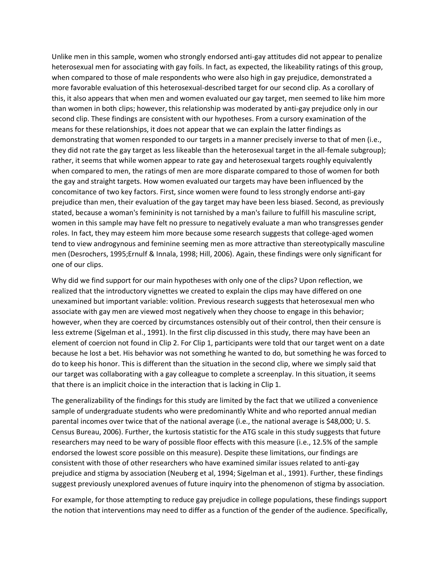Unlike men in this sample, women who strongly endorsed anti-gay attitudes did not appear to penalize heterosexual men for associating with gay foils. In fact, as expected, the likeability ratings of this group, when compared to those of male respondents who were also high in gay prejudice, demonstrated a more favorable evaluation of this heterosexual-described target for our second clip. As a corollary of this, it also appears that when men and women evaluated our gay target, men seemed to like him more than women in both clips; however, this relationship was moderated by anti-gay prejudice only in our second clip. These findings are consistent with our hypotheses. From a cursory examination of the means for these relationships, it does not appear that we can explain the latter findings as demonstrating that women responded to our targets in a manner precisely inverse to that of men (i.e., they did not rate the gay target as less likeable than the heterosexual target in the all-female subgroup); rather, it seems that while women appear to rate gay and heterosexual targets roughly equivalently when compared to men, the ratings of men are more disparate compared to those of women for both the gay and straight targets. How women evaluated our targets may have been influenced by the concomitance of two key factors. First, since women were found to less strongly endorse anti-gay prejudice than men, their evaluation of the gay target may have been less biased. Second, as previously stated, because a woman's femininity is not tarnished by a man's failure to fulfill his masculine script, women in this sample may have felt no pressure to negatively evaluate a man who transgresses gender roles. In fact, they may esteem him more because some research suggests that college-aged women tend to view androgynous and feminine seeming men as more attractive than stereotypically masculine men (Desrochers, 1995;Ernulf & Innala, 1998; Hill, 2006). Again, these findings were only significant for one of our clips.

Why did we find support for our main hypotheses with only one of the clips? Upon reflection, we realized that the introductory vignettes we created to explain the clips may have differed on one unexamined but important variable: volition. Previous research suggests that heterosexual men who associate with gay men are viewed most negatively when they choose to engage in this behavior; however, when they are coerced by circumstances ostensibly out of their control, then their censure is less extreme (Sigelman et al., 1991). In the first clip discussed in this study, there may have been an element of coercion not found in Clip 2. For Clip 1, participants were told that our target went on a date because he lost a bet. His behavior was not something he wanted to do, but something he was forced to do to keep his honor. This is different than the situation in the second clip, where we simply said that our target was collaborating with a gay colleague to complete a screenplay. In this situation, it seems that there is an implicit choice in the interaction that is lacking in Clip 1.

The generalizability of the findings for this study are limited by the fact that we utilized a convenience sample of undergraduate students who were predominantly White and who reported annual median parental incomes over twice that of the national average (i.e., the national average is \$48,000; U. S. Census Bureau, 2006). Further, the kurtosis statistic for the ATG scale in this study suggests that future researchers may need to be wary of possible floor effects with this measure (i.e., 12.5% of the sample endorsed the lowest score possible on this measure). Despite these limitations, our findings are consistent with those of other researchers who have examined similar issues related to anti-gay prejudice and stigma by association (Neuberg et al, 1994; Sigelman et al., 1991). Further, these findings suggest previously unexplored avenues of future inquiry into the phenomenon of stigma by association.

For example, for those attempting to reduce gay prejudice in college populations, these findings support the notion that interventions may need to differ as a function of the gender of the audience. Specifically,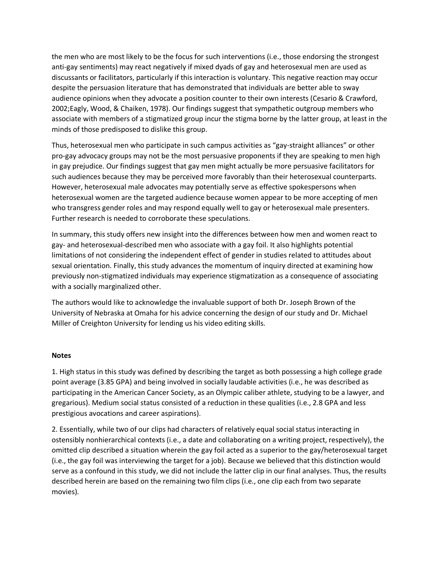the men who are most likely to be the focus for such interventions (i.e., those endorsing the strongest anti-gay sentiments) may react negatively if mixed dyads of gay and heterosexual men are used as discussants or facilitators, particularly if this interaction is voluntary. This negative reaction may occur despite the persuasion literature that has demonstrated that individuals are better able to sway audience opinions when they advocate a position counter to their own interests (Cesario & Crawford, 2002;Eagly, Wood, & Chaiken, 1978). Our findings suggest that sympathetic outgroup members who associate with members of a stigmatized group incur the stigma borne by the latter group, at least in the minds of those predisposed to dislike this group.

Thus, heterosexual men who participate in such campus activities as "gay-straight alliances" or other pro-gay advocacy groups may not be the most persuasive proponents if they are speaking to men high in gay prejudice. Our findings suggest that gay men might actually be more persuasive facilitators for such audiences because they may be perceived more favorably than their heterosexual counterparts. However, heterosexual male advocates may potentially serve as effective spokespersons when heterosexual women are the targeted audience because women appear to be more accepting of men who transgress gender roles and may respond equally well to gay or heterosexual male presenters. Further research is needed to corroborate these speculations.

In summary, this study offers new insight into the differences between how men and women react to gay- and heterosexual-described men who associate with a gay foil. It also highlights potential limitations of not considering the independent effect of gender in studies related to attitudes about sexual orientation. Finally, this study advances the momentum of inquiry directed at examining how previously non-stigmatized individuals may experience stigmatization as a consequence of associating with a socially marginalized other.

The authors would like to acknowledge the invaluable support of both Dr. Joseph Brown of the University of Nebraska at Omaha for his advice concerning the design of our study and Dr. Michael Miller of Creighton University for lending us his video editing skills.

## **Notes**

1. High status in this study was defined by describing the target as both possessing a high college grade point average (3.85 GPA) and being involved in socially laudable activities (i.e., he was described as participating in the American Cancer Society, as an Olympic caliber athlete, studying to be a lawyer, and gregarious). Medium social status consisted of a reduction in these qualities (i.e., 2.8 GPA and less prestigious avocations and career aspirations).

2. Essentially, while two of our clips had characters of relatively equal social status interacting in ostensibly nonhierarchical contexts (i.e., a date and collaborating on a writing project, respectively), the omitted clip described a situation wherein the gay foil acted as a superior to the gay/heterosexual target (i.e., the gay foil was interviewing the target for a job). Because we believed that this distinction would serve as a confound in this study, we did not include the latter clip in our final analyses. Thus, the results described herein are based on the remaining two film clips (i.e., one clip each from two separate movies).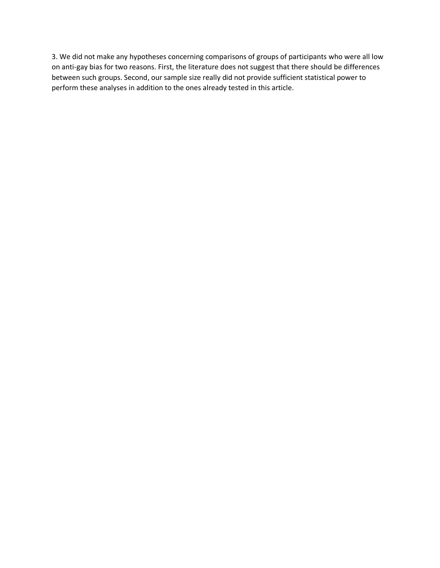3. We did not make any hypotheses concerning comparisons of groups of participants who were all low on anti-gay bias for two reasons. First, the literature does not suggest that there should be differences between such groups. Second, our sample size really did not provide sufficient statistical power to perform these analyses in addition to the ones already tested in this article.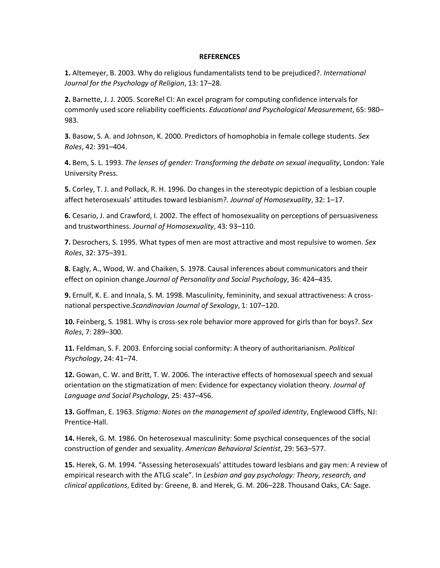#### **REFERENCES**

**1.** Altemeyer, B. 2003. Why do religious fundamentalists tend to be prejudiced?. *International Journal for the Psychology of Religion*, 13: 17–28.

**2.** Barnette, J. J. 2005. ScoreRel CI: An excel program for computing confidence intervals for commonly used score reliability coefficients. *Educational and Psychological Measurement*, 65: 980– 983.

**3.** Basow, S. A. and Johnson, K. 2000. Predictors of homophobia in female college students. *Sex Roles*, 42: 391–404.

**4.** Bem, S. L. 1993. *The lenses of gender: Transforming the debate on sexual inequality*, London: Yale University Press.

**5.** Corley, T. J. and Pollack, R. H. 1996. Do changes in the stereotypic depiction of a lesbian couple affect heterosexuals' attitudes toward lesbianism?. *Journal of Homosexuality*, 32: 1–17.

**6.** Cesario, J. and Crawford, I. 2002. The effect of homosexuality on perceptions of persuasiveness and trustworthiness. *Journal of Homosexuality*, 43: 93–110.

**7.** Desrochers, S. 1995. What types of men are most attractive and most repulsive to women. *Sex Roles*, 32: 375–391.

**8.** Eagly, A., Wood, W. and Chaiken, S. 1978. Causal inferences about communicators and their effect on opinion change.*Journal of Personality and Social Psychology*, 36: 424–435.

**9.** Ernulf, K. E. and Innala, S. M. 1998. Masculinity, femininity, and sexual attractiveness: A crossnational perspective.*Scandinavian Journal of Sexology*, 1: 107–120.

**10.** Feinberg, S. 1981. Why is cross-sex role behavior more approved for girls than for boys?. *Sex Roles*, 7: 289–300.

**11.** Feldman, S. F. 2003. Enforcing social conformity: A theory of authoritarianism. *Political Psychology*, 24: 41–74.

**12.** Gowan, C. W. and Britt, T. W. 2006. The interactive effects of homosexual speech and sexual orientation on the stigmatization of men: Evidence for expectancy violation theory. *Journal of Language and Social Psychology*, 25: 437–456.

**13.** Goffman, E. 1963. *Stigma: Notes on the management of spoiled identity*, Englewood Cliffs, NJ: Prentice-Hall.

**14.** Herek, G. M. 1986. On heterosexual masculinity: Some psychical consequences of the social construction of gender and sexuality. *American Behavioral Scientist*, 29: 563–577.

**15.** Herek, G. M. 1994. "Assessing heterosexuals' attitudes toward lesbians and gay men: A review of empirical research with the ATLG scale". In *Lesbian and gay psychology: Theory, research, and clinical applications*, Edited by: Greene, B. and Herek, G. M. 206–228. Thousand Oaks, CA: Sage.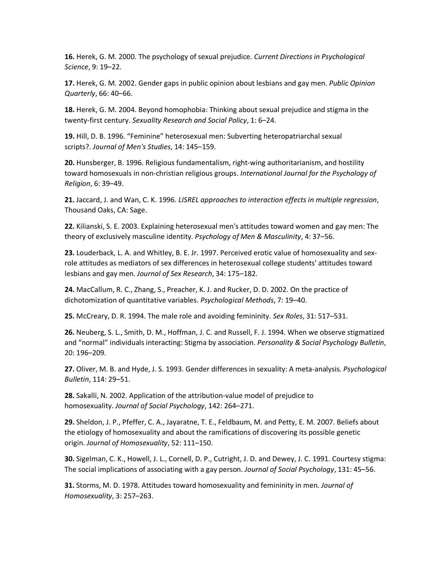**16.** Herek, G. M. 2000. The psychology of sexual prejudice. *Current Directions in Psychological Science*, 9: 19–22.

**17.** Herek, G. M. 2002. Gender gaps in public opinion about lesbians and gay men. *Public Opinion Quarterly*, 66: 40–66.

**18.** Herek, G. M. 2004. Beyond homophobia: Thinking about sexual prejudice and stigma in the twenty-first century. *Sexuality Research and Social Policy*, 1: 6–24.

**19.** Hill, D. B. 1996. "Feminine" heterosexual men: Subverting heteropatriarchal sexual scripts?. *Journal of Men's Studies*, 14: 145–159.

**20.** Hunsberger, B. 1996. Religious fundamentalism, right-wing authoritarianism, and hostility toward homosexuals in non-christian religious groups. *International Journal for the Psychology of Religion*, 6: 39–49.

**21.** Jaccard, J. and Wan, C. K. 1996. *LISREL approaches to interaction effects in multiple regression*, Thousand Oaks, CA: Sage.

**22.** Kilianski, S. E. 2003. Explaining heterosexual men's attitudes toward women and gay men: The theory of exclusively masculine identity. *Psychology of Men & Masculinity*, 4: 37–56.

**23.** Louderback, L. A. and Whitley, B. E. Jr. 1997. Perceived erotic value of homosexuality and sexrole attitudes as mediators of sex differences in heterosexual college students' attitudes toward lesbians and gay men. *Journal of Sex Research*, 34: 175–182.

**24.** MacCallum, R. C., Zhang, S., Preacher, K. J. and Rucker, D. D. 2002. On the practice of dichotomization of quantitative variables. *Psychological Methods*, 7: 19–40.

**25.** McCreary, D. R. 1994. The male role and avoiding femininity. *Sex Roles*, 31: 517–531.

**26.** Neuberg, S. L., Smith, D. M., Hoffman, J. C. and Russell, F. J. 1994. When we observe stigmatized and "normal" individuals interacting: Stigma by association. *Personality & Social Psychology Bulletin*, 20: 196–209.

**27.** Oliver, M. B. and Hyde, J. S. 1993. Gender differences in sexuality: A meta-analysis. *Psychological Bulletin*, 114: 29–51.

**28.** Sakalli, N. 2002. Application of the attribution-value model of prejudice to homosexuality. *Journal of Social Psychology*, 142: 264–271.

**29.** Sheldon, J. P., Pfeffer, C. A., Jayaratne, T. E., Feldbaum, M. and Petty, E. M. 2007. Beliefs about the etiology of homosexuality and about the ramifications of discovering its possible genetic origin. *Journal of Homosexuality*, 52: 111–150.

**30.** Sigelman, C. K., Howell, J. L., Cornell, D. P., Cutright, J. D. and Dewey, J. C. 1991. Courtesy stigma: The social implications of associating with a gay person. *Journal of Social Psychology*, 131: 45–56.

**31.** Storms, M. D. 1978. Attitudes toward homosexuality and femininity in men. *Journal of Homosexuality*, 3: 257–263.